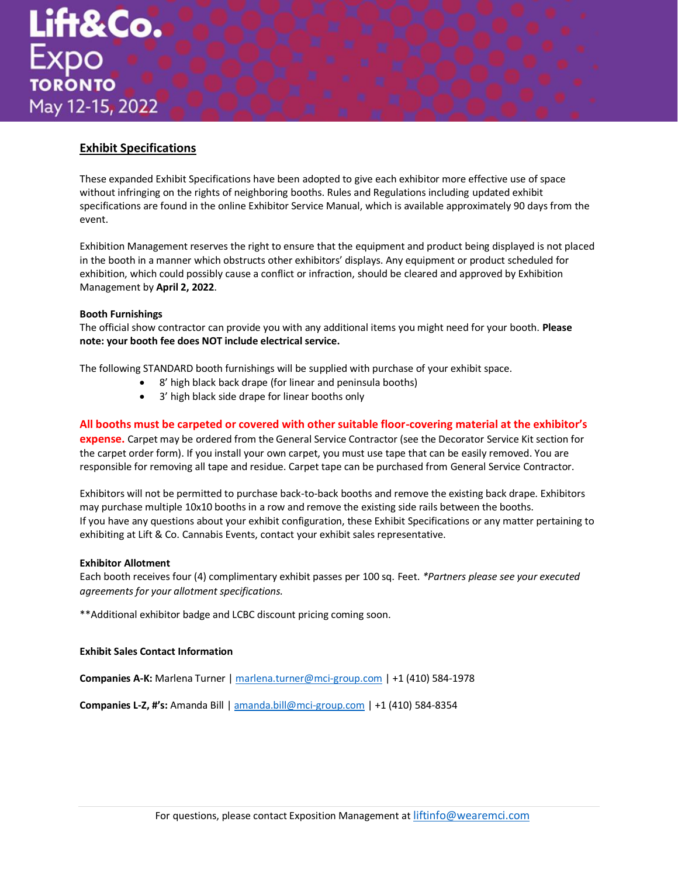# **Exhibit Specifications**

These expanded Exhibit Specifications have been adopted to give each exhibitor more effective use of space without infringing on the rights of neighboring booths. Rules and Regulations including updated exhibit specifications are found in the online Exhibitor Service Manual, which is available approximately 90 days from the event.   

Exhibition Management reserves the right to ensure that the equipment and product being displayed is not placed in the booth in a manner which obstructs other exhibitors' displays. Any equipment or product scheduled for exhibition, which could possibly cause a conflict or infraction, should be cleared and approved by Exhibition Management by **April 2, 2022**.

# **Booth Furnishings**

The official show contractor can provide you with any additional items you might need for your booth. **Please note: your booth fee does NOT include electrical service.**

The following STANDARD booth furnishings will be supplied with purchase of your exhibit space.

- 8' high black back drape (for linear and peninsula booths)
	- 3' high black side drape for linear booths only

**All booths must be carpeted or covered with other suitable floor-covering material at the exhibitor's** 

**expense.** Carpet may be ordered from the General Service Contractor (see the Decorator Service Kit section for the carpet order form). If you install your own carpet, you must use tape that can be easily removed. You are responsible for removing all tape and residue. Carpet tape can be purchased from General Service Contractor.   

Exhibitors will not be permitted to purchase back-to-back booths and remove the existing back drape. Exhibitors may purchase multiple 10x10 booths in a row and remove the existing side rails between the booths.  If you have any questions about your exhibit configuration, these Exhibit Specifications or any matter pertaining to exhibiting at Lift & Co. Cannabis Events, contact your exhibit sales representative.

### **Exhibitor Allotment**

Each booth receives four (4) complimentary exhibit passes per 100 sq. Feet. *\*Partners please see your executed agreements for your allotment specifications.*

\*\*Additional exhibitor badge and LCBC discount pricing coming soon.

### **Exhibit Sales Contact Information**

**Companies A-K:** Marlena Turner | [marlena.turner@mci-group.com](mailto:marlena.turner@mci-group.com) | +1 (410) 584-1978        

**Companies L-Z, #'s:** Amanda Bill [| amanda.bill@mci-group.com](mailto:amanda.bill@mci-group.com) | +1 (410) 584-8354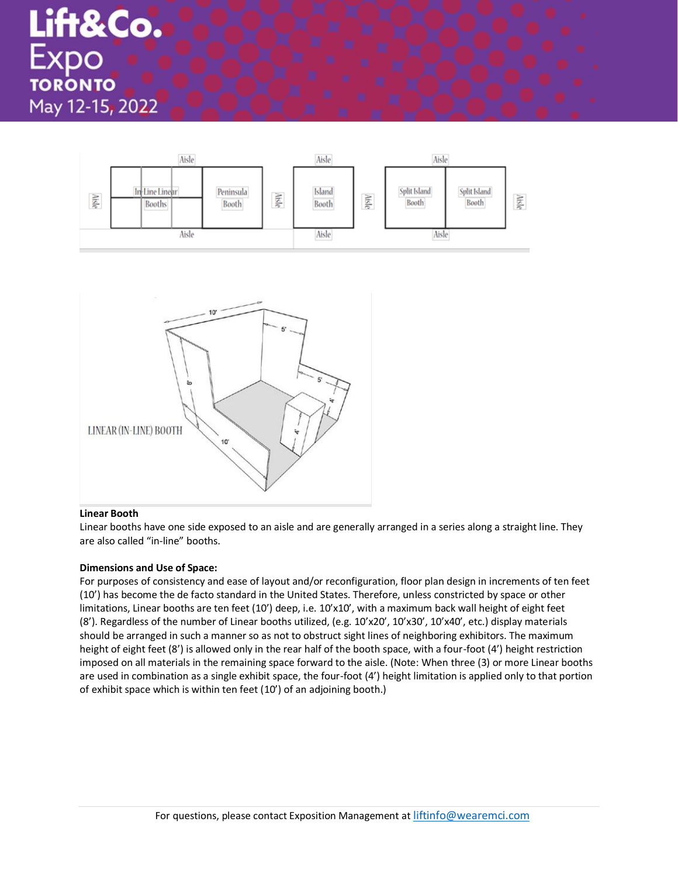

### **Linear Booth**

Linear booths have one side exposed to an aisle and are generally arranged in a series along a straight line. They are also called "in-line" booths.   

# **Dimensions and Use of Space:**

For purposes of consistency and ease of layout and/or reconfiguration, floor plan design in increments of ten feet (10') has become the de facto standard in the United States. Therefore, unless constricted by space or other limitations, Linear booths are ten feet (10') deep, i.e. 10'x10', with a maximum back wall height of eight feet (8'). Regardless of the number of Linear booths utilized, (e.g. 10'x20', 10'x30', 10'x40', etc.) display materials should be arranged in such a manner so as not to obstruct sight lines of neighboring exhibitors. The maximum height of eight feet (8') is allowed only in the rear half of the booth space, with a four-foot (4') height restriction imposed on all materials in the remaining space forward to the aisle. (Note: When three (3) or more Linear booths are used in combination as a single exhibit space, the four-foot (4') height limitation is applied only to that portion of exhibit space which is within ten feet (10') of an adjoining booth.)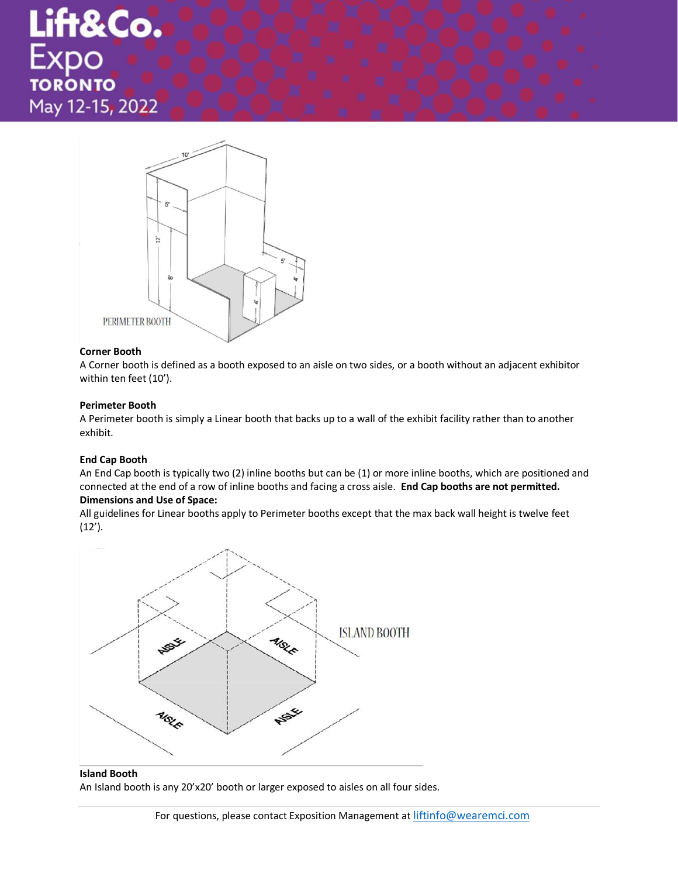# Lift&Co.<br>Expo May 12-15, 2022



### **Corner Booth**

A Corner booth is defined as a booth exposed to an aisle on two sides, or a booth without an adjacent exhibitor within ten feet (10').   

### **Perimeter Booth**

A Perimeter booth is simply a Linear booth that backs up to a wall of the exhibit facility rather than to another exhibit.   

### **End Cap Booth**

An End Cap booth is typically two (2) inline booths but can be (1) or more inline booths, which are positioned and connected at the end of a row of inline booths and facing a cross aisle.  **End Cap booths are not permitted.**   

# **Dimensions and Use of Space:**

All guidelines for Linear booths apply to Perimeter booths except that the max back wall height is twelve feet (12').   



# **Island Booth**

An Island booth is any 20'x20' booth or larger exposed to aisles on all four sides.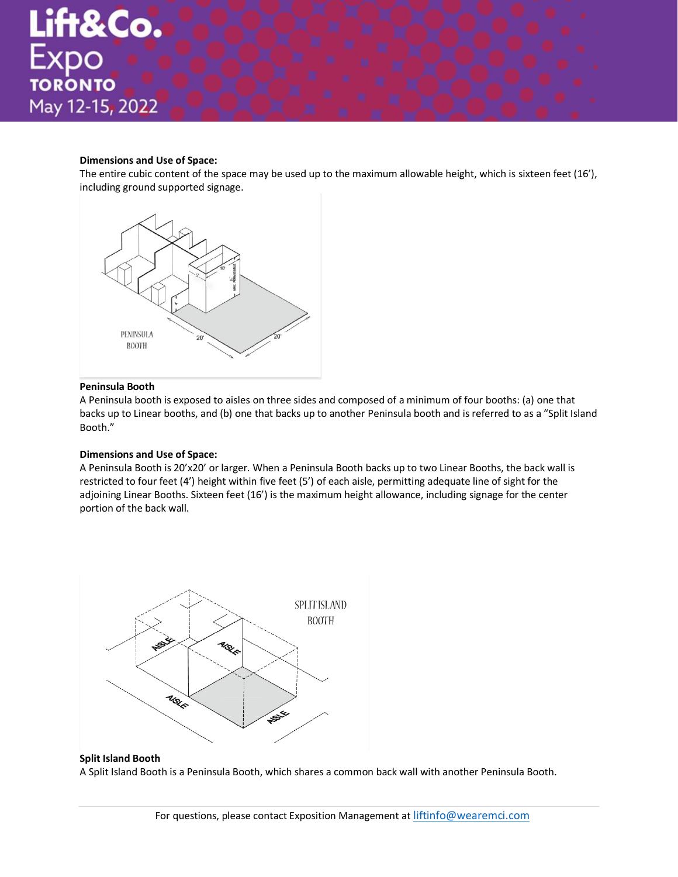# **Dimensions and Use of Space:**

The entire cubic content of the space may be used up to the maximum allowable height, which is sixteen feet (16'), including ground supported signage.



# **Peninsula Booth**

A Peninsula booth is exposed to aisles on three sides and composed of a minimum of four booths: (a) one that backs up to Linear booths, and (b) one that backs up to another Peninsula booth and is referred to as a "Split Island Booth."   

# **Dimensions and Use of Space:**

A Peninsula Booth is 20'x20' or larger. When a Peninsula Booth backs up to two Linear Booths, the back wall is restricted to four feet (4') height within five feet (5') of each aisle, permitting adequate line of sight for the adjoining Linear Booths. Sixteen feet (16') is the maximum height allowance, including signage for the center portion of the back wall.   



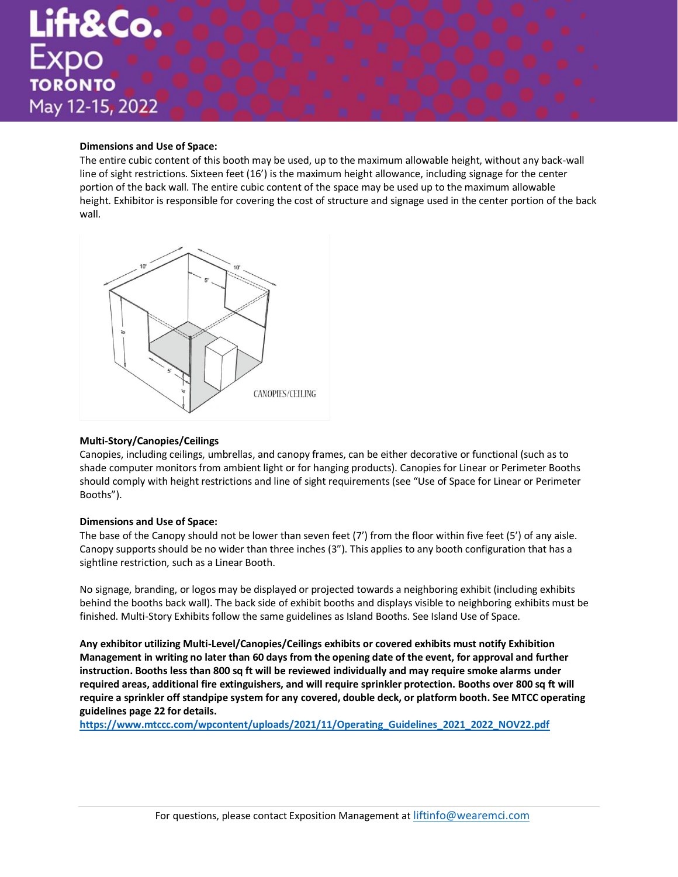# **Dimensions and Use of Space:**

The entire cubic content of this booth may be used, up to the maximum allowable height, without any back-wall line of sight restrictions. Sixteen feet (16') is the maximum height allowance, including signage for the center portion of the back wall. The entire cubic content of the space may be used up to the maximum allowable height. Exhibitor is responsible for covering the cost of structure and signage used in the center portion of the back wall.   



### **Multi-Story/Canopies/Ceilings**

Canopies, including ceilings, umbrellas, and canopy frames, can be either decorative or functional (such as to shade computer monitors from ambient light or for hanging products). Canopies for Linear or Perimeter Booths should comply with height restrictions and line of sight requirements (see "Use of Space for Linear or Perimeter Booths").   

### **Dimensions and Use of Space:**

The base of the Canopy should not be lower than seven feet (7') from the floor within five feet (5') of any aisle. Canopy supports should be no wider than three inches (3"). This applies to any booth configuration that has a sightline restriction, such as a Linear Booth.   

No signage, branding, or logos may be displayed or projected towards a neighboring exhibit (including exhibits behind the booths back wall). The back side of exhibit booths and displays visible to neighboring exhibits must be finished. Multi-Story Exhibits follow the same guidelines as Island Booths. See Island Use of Space.

**Any exhibitor utilizing Multi-Level/Canopies/Ceilings exhibits or covered exhibits must notify Exhibition Management in writing no later than 60 days from the opening date of the event, for approval and further instruction. Booths less than 800 sq ft will be reviewed individually and may require smoke alarms under required areas, additional fire extinguishers, and will require sprinkler protection. Booths over 800 sq ft will require a sprinkler off standpipe system for any covered, double deck, or platform booth. See MTCC operating guidelines page 22 for details.** 

**[https://www.mtccc.com/wpcontent/uploads/2021/11/Operating\\_Guidelines\\_2021\\_2022\\_NOV22.pdf](https://www.mtccc.com/wpcontent/uploads/2021/11/Operating_Guidelines_2021_2022_NOV22.pdf)**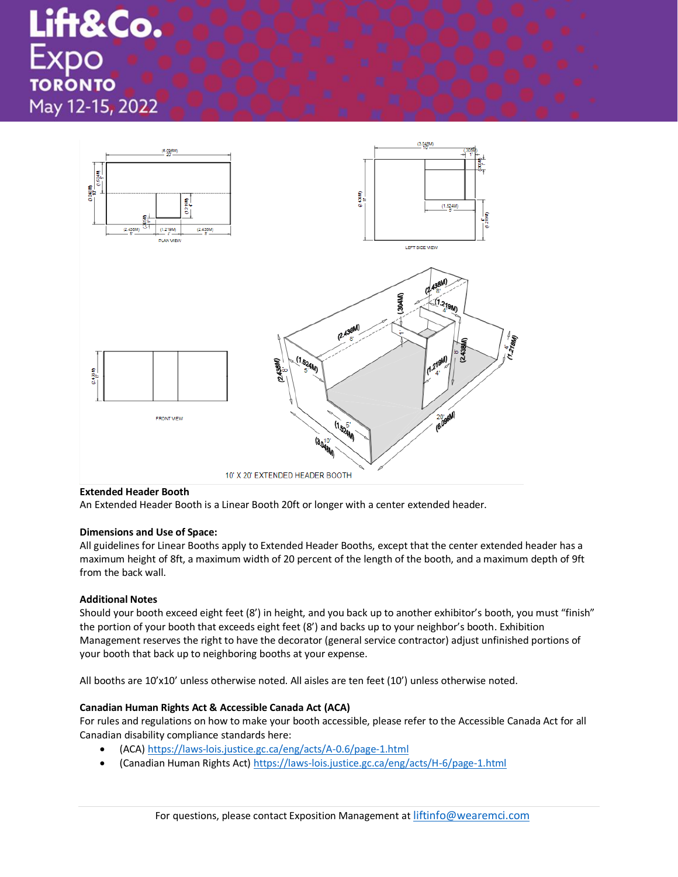Lift&Co. Expo **TORONTO** May 12-15, 2022



### **Extended Header Booth**

An Extended Header Booth is a Linear Booth 20ft or longer with a center extended header.    

### **Dimensions and Use of Space:**

All guidelines for Linear Booths apply to Extended Header Booths, except that the center extended header has a maximum height of 8ft, a maximum width of 20 percent of the length of the booth, and a maximum depth of 9ft from the back wall.   

# **Additional Notes**

Should your booth exceed eight feet (8') in height, and you back up to another exhibitor's booth, you must "finish" the portion of your booth that exceeds eight feet (8') and backs up to your neighbor's booth. Exhibition Management reserves the right to have the decorator (general service contractor) adjust unfinished portions of your booth that back up to neighboring booths at your expense.    

All booths are 10'x10' unless otherwise noted. All aisles are ten feet (10') unless otherwise noted.

# **Canadian Human Rights Act & Accessible Canada Act (ACA)**

For rules and regulations on how to make your booth accessible, please refer to the Accessible Canada Act for all Canadian disability compliance standards here:

- (ACA) <https://laws-lois.justice.gc.ca/eng/acts/A-0.6/page-1.html>
- (Canadian Human Rights Act[\) https://laws-lois.justice.gc.ca/eng/acts/H-6/page-1.html](https://laws-lois.justice.gc.ca/eng/acts/H-6/page-1.html)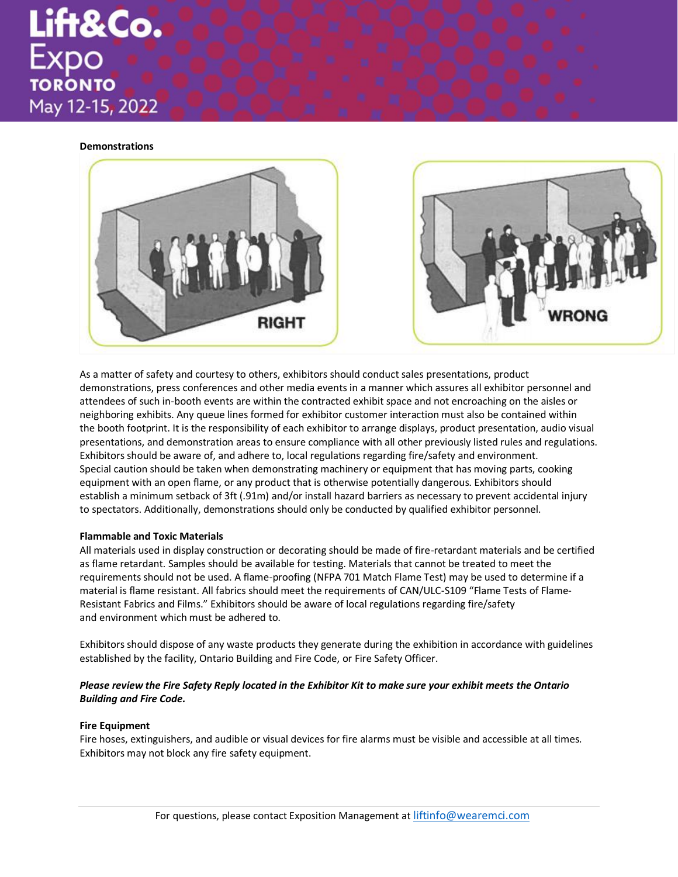Lift&Co. TORONTO May 12-15, 2022

### **Demonstrations**



As a matter of safety and courtesy to others, exhibitors should conduct sales presentations, product demonstrations, press conferences and other media events in a manner which assures all exhibitor personnel and attendees of such in-booth events are within the contracted exhibit space and not encroaching on the aisles or neighboring exhibits. Any queue lines formed for exhibitor customer interaction must also be contained within the booth footprint. It is the responsibility of each exhibitor to arrange displays, product presentation, audio visual presentations, and demonstration areas to ensure compliance with all other previously listed rules and regulations. Exhibitors should be aware of, and adhere to, local regulations regarding fire/safety and environment.    Special caution should be taken when demonstrating machinery or equipment that has moving parts, cooking equipment with an open flame, or any product that is otherwise potentially dangerous. Exhibitors should establish a minimum setback of 3ft (.91m) and/or install hazard barriers as necessary to prevent accidental injury to spectators. Additionally, demonstrations should only be conducted by qualified exhibitor personnel.   

### **Flammable and Toxic Materials**

All materials used in display construction or decorating should be made of fire-retardant materials and be certified as flame retardant. Samples should be available for testing. Materials that cannot be treated to meet the requirements should not be used. A flame-proofing (NFPA 701 Match Flame Test) may be used to determine if a material is flame resistant. All fabrics should meet the requirements of CAN/ULC-S109 "Flame Tests of Flame-Resistant Fabrics and Films." Exhibitors should be aware of local regulations regarding fire/safety and environment which must be adhered to.   

Exhibitors should dispose of any waste products they generate during the exhibition in accordance with guidelines established by the facility, Ontario Building and Fire Code, or Fire Safety Officer.

# *Please review the Fire Safety Reply located in the Exhibitor Kit to make sure your exhibit meets the Ontario Building and Fire Code.*

### **Fire Equipment**

Fire hoses, extinguishers, and audible or visual devices for fire alarms must be visible and accessible at all times. Exhibitors may not block any fire safety equipment.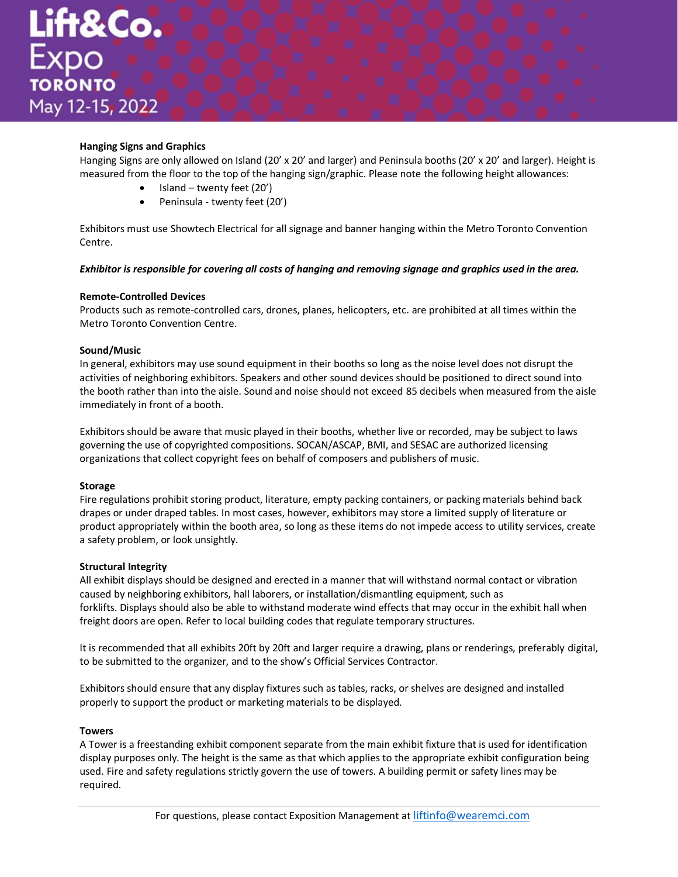# **Hanging Signs and Graphics**

Hanging Signs are only allowed on Island (20' x 20' and larger) and Peninsula booths (20' x 20' and larger). Height is measured from the floor to the top of the hanging sign/graphic. Please note the following height allowances:   

- $\bullet$  Island twenty feet (20')
- Peninsula twenty feet (20')

Exhibitors must use Showtech Electrical for all signage and banner hanging within the Metro Toronto Convention Centre.

*Exhibitor is responsible for covering all costs of hanging and removing signage and graphics used in the area.*   

# **Remote-Controlled Devices**

Products such as remote-controlled cars, drones, planes, helicopters, etc. are prohibited at all times within the Metro Toronto Convention Centre.    

# **Sound/Music**

In general, exhibitors may use sound equipment in their booths so long as the noise level does not disrupt the activities of neighboring exhibitors. Speakers and other sound devices should be positioned to direct sound into the booth rather than into the aisle. Sound and noise should not exceed 85 decibels when measured from the aisle immediately in front of a booth.

Exhibitors should be aware that music played in their booths, whether live or recorded, may be subject to laws governing the use of copyrighted compositions. SOCAN/ASCAP, BMI, and SESAC are authorized licensing organizations that collect copyright fees on behalf of composers and publishers of music.

### **Storage**

Fire regulations prohibit storing product, literature, empty packing containers, or packing materials behind back drapes or under draped tables. In most cases, however, exhibitors may store a limited supply of literature or product appropriately within the booth area, so long as these items do not impede access to utility services, create a safety problem, or look unsightly.   

### **Structural Integrity**

All exhibit displays should be designed and erected in a manner that will withstand normal contact or vibration caused by neighboring exhibitors, hall laborers, or installation/dismantling equipment, such as forklifts. Displays should also be able to withstand moderate wind effects that may occur in the exhibit hall when freight doors are open. Refer to local building codes that regulate temporary structures.   

It is recommended that all exhibits 20ft by 20ft and larger require a drawing, plans or renderings, preferably digital, to be submitted to the organizer, and to the show's Official Services Contractor.    

Exhibitors should ensure that any display fixtures such as tables, racks, or shelves are designed and installed properly to support the product or marketing materials to be displayed.   

### **Towers**

A Tower is a freestanding exhibit component separate from the main exhibit fixture that is used for identification display purposes only. The height is the same as that which applies to the appropriate exhibit configuration being used. Fire and safety regulations strictly govern the use of towers. A building permit or safety lines may be required.